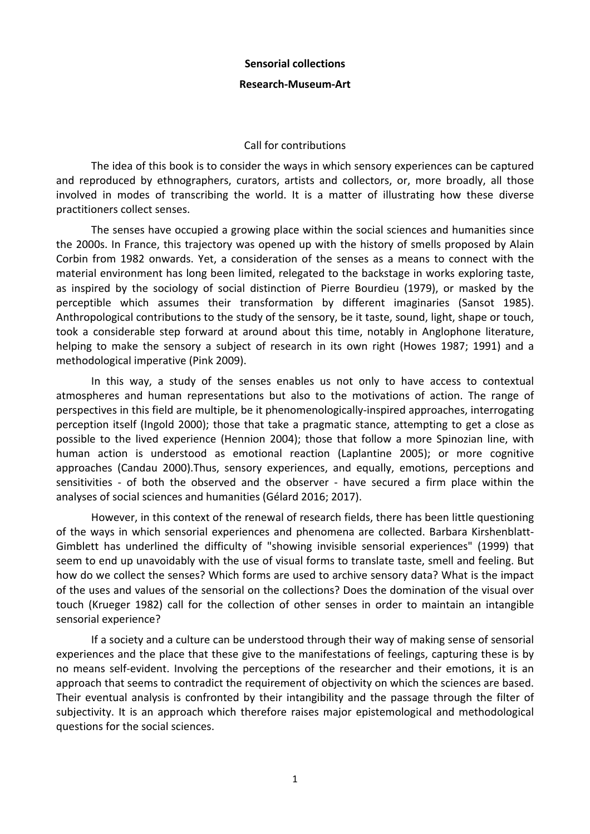#### **Sensorial collections**

## **Research-Museum-Art**

## Call for contributions

The idea of this book is to consider the ways in which sensory experiences can be captured and reproduced by ethnographers, curators, artists and collectors, or, more broadly, all those involved in modes of transcribing the world. It is a matter of illustrating how these diverse practitioners collect senses.

The senses have occupied a growing place within the social sciences and humanities since the 2000s. In France, this trajectory was opened up with the history of smells proposed by Alain Corbin from 1982 onwards. Yet, a consideration of the senses as a means to connect with the material environment has long been limited, relegated to the backstage in works exploring taste, as inspired by the sociology of social distinction of Pierre Bourdieu (1979), or masked by the perceptible which assumes their transformation by different imaginaries (Sansot 1985). Anthropological contributions to the study of the sensory, be it taste, sound, light, shape or touch, took a considerable step forward at around about this time, notably in Anglophone literature, helping to make the sensory a subject of research in its own right (Howes 1987; 1991) and a methodological imperative (Pink 2009).

In this way, a study of the senses enables us not only to have access to contextual atmospheres and human representations but also to the motivations of action. The range of perspectives in this field are multiple, be it phenomenologically-inspired approaches, interrogating perception itself (Ingold 2000); those that take a pragmatic stance, attempting to get a close as possible to the lived experience (Hennion 2004); those that follow a more Spinozian line, with human action is understood as emotional reaction (Laplantine 2005); or more cognitive approaches (Candau 2000).Thus, sensory experiences, and equally, emotions, perceptions and sensitivities - of both the observed and the observer - have secured a firm place within the analyses of social sciences and humanities (Gélard 2016; 2017).

However, in this context of the renewal of research fields, there has been little questioning of the ways in which sensorial experiences and phenomena are collected. Barbara Kirshenblatt-Gimblett has underlined the difficulty of "showing invisible sensorial experiences" (1999) that seem to end up unavoidably with the use of visual forms to translate taste, smell and feeling. But how do we collect the senses? Which forms are used to archive sensory data? What is the impact of the uses and values of the sensorial on the collections? Does the domination of the visual over touch (Krueger 1982) call for the collection of other senses in order to maintain an intangible sensorial experience?

If a society and a culture can be understood through their way of making sense of sensorial experiences and the place that these give to the manifestations of feelings, capturing these is by no means self-evident. Involving the perceptions of the researcher and their emotions, it is an approach that seems to contradict the requirement of objectivity on which the sciences are based. Their eventual analysis is confronted by their intangibility and the passage through the filter of subjectivity. It is an approach which therefore raises major epistemological and methodological questions for the social sciences.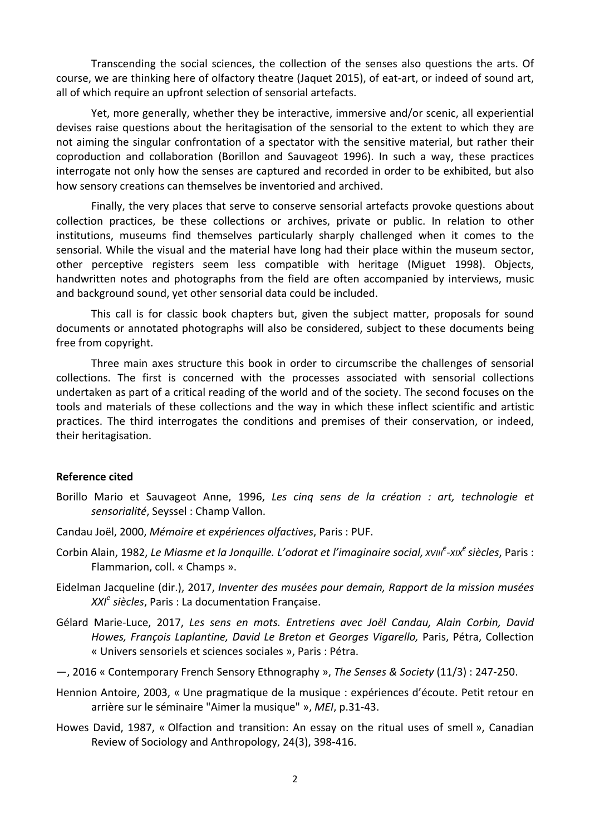Transcending the social sciences, the collection of the senses also questions the arts. Of course, we are thinking here of olfactory theatre (Jaquet 2015), of eat-art, or indeed of sound art, all of which require an upfront selection of sensorial artefacts.

Yet, more generally, whether they be interactive, immersive and/or scenic, all experiential devises raise questions about the heritagisation of the sensorial to the extent to which they are not aiming the singular confrontation of a spectator with the sensitive material, but rather their coproduction and collaboration (Borillon and Sauvageot 1996). In such a way, these practices interrogate not only how the senses are captured and recorded in order to be exhibited, but also how sensory creations can themselves be inventoried and archived.

Finally, the very places that serve to conserve sensorial artefacts provoke questions about collection practices, be these collections or archives, private or public. In relation to other institutions, museums find themselves particularly sharply challenged when it comes to the sensorial. While the visual and the material have long had their place within the museum sector, other perceptive registers seem less compatible with heritage (Miguet 1998). Objects, handwritten notes and photographs from the field are often accompanied by interviews, music and background sound, yet other sensorial data could be included.

This call is for classic book chapters but, given the subject matter, proposals for sound documents or annotated photographs will also be considered, subject to these documents being free from copyright.

Three main axes structure this book in order to circumscribe the challenges of sensorial collections. The first is concerned with the processes associated with sensorial collections undertaken as part of a critical reading of the world and of the society. The second focuses on the tools and materials of these collections and the way in which these inflect scientific and artistic practices. The third interrogates the conditions and premises of their conservation, or indeed, their heritagisation.

## **Reference cited**

- Borillo Mario et Sauvageot Anne, 1996, Les cing sens de la création : art, technologie et sensorialité, Seyssel : Champ Vallon.
- Candau Joël, 2000, *Mémoire et expériences olfactives*, Paris : PUF.
- Corbin Alain, 1982, Le Miasme et la Jonquille. L'odorat et l'imaginaire social, *xvill<sup>e</sup>-xix<sup>e</sup> siècles*, Paris : Flammarion, coll. « Champs ».
- Eidelman Jacqueline (dir.), 2017, *Inventer des musées pour demain, Rapport de la mission musées XXI<sup>e</sup> siècles*, Paris : La documentation Française.
- Gélard Marie-Luce, 2017, Les sens en mots. Entretiens avec Joël Candau, Alain Corbin, David Howes, François Laplantine, David Le Breton et Georges Vigarello, Paris, Pétra, Collection « Univers sensoriels et sciences sociales », Paris : Pétra.
- $-$ , 2016 « Contemporary French Sensory Ethnography », The Senses & Society (11/3) : 247-250.
- Hennion Antoire, 2003, « Une pragmatique de la musique : expériences d'écoute. Petit retour en arrière sur le séminaire "Aimer la musique" », *MEI*, p.31-43.
- Howes David, 1987, « Olfaction and transition: An essay on the ritual uses of smell », Canadian Review of Sociology and Anthropology, 24(3), 398-416.